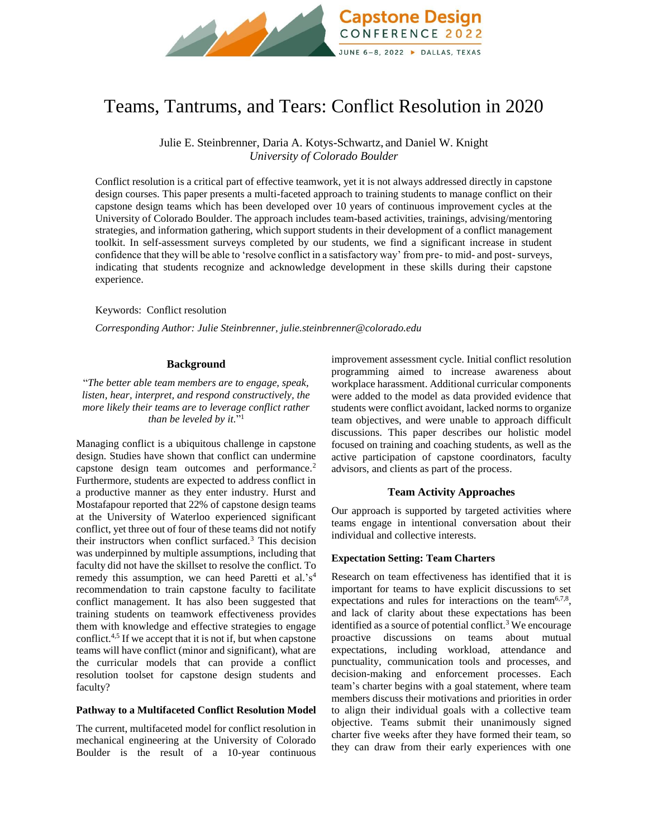

# Teams, Tantrums, and Tears: Conflict Resolution in 2020

Julie E. Steinbrenner, Daria A. Kotys-Schwartz, and Daniel W. Knight *University of Colorado Boulder*

Conflict resolution is a critical part of effective teamwork, yet it is not always addressed directly in capstone design courses. This paper presents a multi-faceted approach to training students to manage conflict on their capstone design teams which has been developed over 10 years of continuous improvement cycles at the University of Colorado Boulder. The approach includes team-based activities, trainings, advising/mentoring strategies, and information gathering, which support students in their development of a conflict management toolkit. In self-assessment surveys completed by our students, we find a significant increase in student confidence that they will be able to 'resolve conflict in a satisfactory way' from pre- to mid- and post-surveys, indicating that students recognize and acknowledge development in these skills during their capstone experience.

Keywords:Conflict resolution

*Corresponding Author: Julie Steinbrenner, julie.steinbrenner@colorado.edu*

## **Background**

"*The better able team members are to engage, speak, listen, hear, interpret, and respond constructively, the more likely their teams are to leverage conflict rather than be leveled by it.*" 1

Managing conflict is a ubiquitous challenge in capstone design. Studies have shown that conflict can undermine capstone design team outcomes and performance.<sup>2</sup> Furthermore, students are expected to address conflict in a productive manner as they enter industry. Hurst and Mostafapour reported that 22% of capstone design teams at the University of Waterloo experienced significant conflict, yet three out of four of these teams did not notify their instructors when conflict surfaced.<sup>3</sup> This decision was underpinned by multiple assumptions, including that faculty did not have the skillset to resolve the conflict. To remedy this assumption, we can heed Paretti et al.'s<sup>4</sup> recommendation to train capstone faculty to facilitate conflict management. It has also been suggested that training students on teamwork effectiveness provides them with knowledge and effective strategies to engage conflict.<sup>4,5</sup> If we accept that it is not if, but when capstone teams will have conflict (minor and significant), what are the curricular models that can provide a conflict resolution toolset for capstone design students and faculty?

## **Pathway to a Multifaceted Conflict Resolution Model**

The current, multifaceted model for conflict resolution in mechanical engineering at the University of Colorado Boulder is the result of a 10-year continuous improvement assessment cycle. Initial conflict resolution programming aimed to increase awareness about workplace harassment. Additional curricular components were added to the model as data provided evidence that students were conflict avoidant, lacked norms to organize team objectives, and were unable to approach difficult discussions. This paper describes our holistic model focused on training and coaching students, as well as the active participation of capstone coordinators, faculty advisors, and clients as part of the process.

## **Team Activity Approaches**

Our approach is supported by targeted activities where teams engage in intentional conversation about their individual and collective interests.

#### **Expectation Setting: Team Charters**

Research on team effectiveness has identified that it is important for teams to have explicit discussions to set expectations and rules for interactions on the team<sup>6,7,8</sup>, and lack of clarity about these expectations has been identified as a source of potential conflict.<sup>3</sup> We encourage proactive discussions on teams about mutual expectations, including workload, attendance and punctuality, communication tools and processes, and decision-making and enforcement processes. Each team's charter begins with a goal statement, where team members discuss their motivations and priorities in order to align their individual goals with a collective team objective. Teams submit their unanimously signed charter five weeks after they have formed their team, so they can draw from their early experiences with one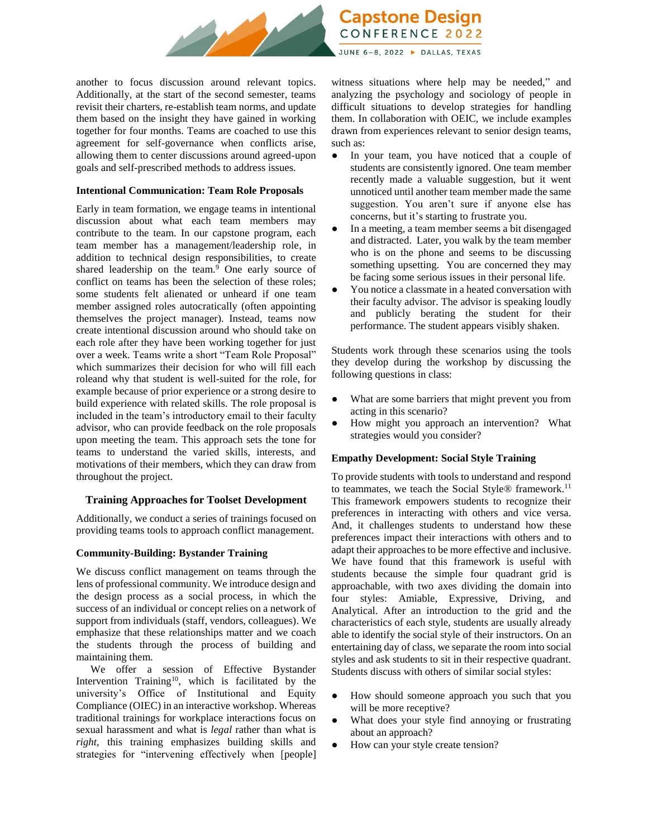

another to focus discussion around relevant topics. Additionally, at the start of the second semester, teams revisit their charters, re-establish team norms, and update them based on the insight they have gained in working together for four months. Teams are coached to use this agreement for self-governance when conflicts arise, allowing them to center discussions around agreed-upon goals and self-prescribed methods to address issues.

### **Intentional Communication: Team Role Proposals**

Early in team formation, we engage teams in intentional discussion about what each team members may contribute to the team. In our capstone program, each team member has a management/leadership role, in addition to technical design responsibilities, to create shared leadership on the team.<sup>9</sup> One early source of conflict on teams has been the selection of these roles; some students felt alienated or unheard if one team member assigned roles autocratically (often appointing themselves the project manager). Instead, teams now create intentional discussion around who should take on each role after they have been working together for just over a week. Teams write a short "Team Role Proposal" which summarizes their decision for who will fill each roleand why that student is well-suited for the role, for example because of prior experience or a strong desire to build experience with related skills. The role proposal is included in the team's introductory email to their faculty advisor, who can provide feedback on the role proposals upon meeting the team. This approach sets the tone for teams to understand the varied skills, interests, and motivations of their members, which they can draw from throughout the project.

## **Training Approaches for Toolset Development**

Additionally, we conduct a series of trainings focused on providing teams tools to approach conflict management.

## **Community-Building: Bystander Training**

We discuss conflict management on teams through the lens of professional community. We introduce design and the design process as a social process, in which the success of an individual or concept relies on a network of support from individuals (staff, vendors, colleagues). We emphasize that these relationships matter and we coach the students through the process of building and maintaining them.

We offer a session of Effective Bystander Intervention Training<sup>10</sup>, which is facilitated by the university's Office of Institutional and Equity Compliance (OIEC) in an interactive workshop. Whereas traditional trainings for workplace interactions focus on sexual harassment and what is *legal* rather than what is *right*, this training emphasizes building skills and strategies for "intervening effectively when [people] witness situations where help may be needed," and analyzing the psychology and sociology of people in difficult situations to develop strategies for handling them. In collaboration with OEIC, we include examples drawn from experiences relevant to senior design teams, such as:

- In your team, you have noticed that a couple of students are consistently ignored. One team member recently made a valuable suggestion, but it went unnoticed until another team member made the same suggestion. You aren't sure if anyone else has concerns, but it's starting to frustrate you.
- In a meeting, a team member seems a bit disengaged and distracted. Later, you walk by the team member who is on the phone and seems to be discussing something upsetting. You are concerned they may be facing some serious issues in their personal life.
- You notice a classmate in a heated conversation with their faculty advisor. The advisor is speaking loudly and publicly berating the student for their performance. The student appears visibly shaken.

Students work through these scenarios using the tools they develop during the workshop by discussing the following questions in class:

- What are some barriers that might prevent you from acting in this scenario?
- How might you approach an intervention? What strategies would you consider?

## **Empathy Development: Social Style Training**

To provide students with tools to understand and respond to teammates, we teach the Social Style® framework.<sup>11</sup> This framework empowers students to recognize their preferences in interacting with others and vice versa. And, it challenges students to understand how these preferences impact their interactions with others and to adapt their approaches to be more effective and inclusive. We have found that this framework is useful with students because the simple four quadrant grid is approachable, with two axes dividing the domain into four styles: Amiable, Expressive, Driving, and Analytical. After an introduction to the grid and the characteristics of each style, students are usually already able to identify the social style of their instructors. On an entertaining day of class, we separate the room into social styles and ask students to sit in their respective quadrant. Students discuss with others of similar social styles:

- How should someone approach you such that you will be more receptive?
- What does your style find annoying or frustrating about an approach?
- How can your style create tension?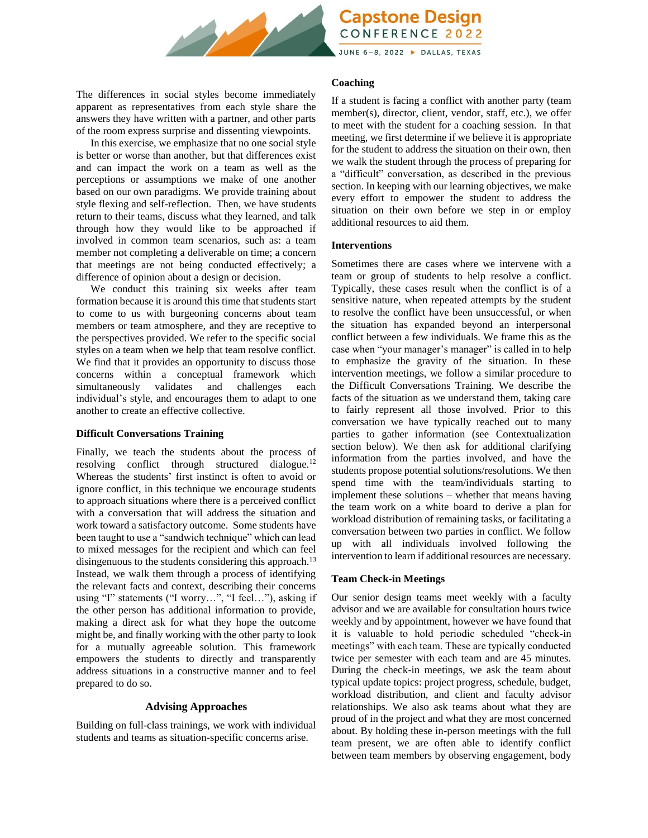

**Capstone Design CONFERENCE 2022** 

JUNE 6-8, 2022 > DALLAS, TEXAS

The differences in social styles become immediately apparent as representatives from each style share the answers they have written with a partner, and other parts of the room express surprise and dissenting viewpoints.

In this exercise, we emphasize that no one social style is better or worse than another, but that differences exist and can impact the work on a team as well as the perceptions or assumptions we make of one another based on our own paradigms. We provide training about style flexing and self-reflection. Then, we have students return to their teams, discuss what they learned, and talk through how they would like to be approached if involved in common team scenarios, such as: a team member not completing a deliverable on time; a concern that meetings are not being conducted effectively; a difference of opinion about a design or decision.

We conduct this training six weeks after team formation because it is around this time that students start to come to us with burgeoning concerns about team members or team atmosphere, and they are receptive to the perspectives provided. We refer to the specific social styles on a team when we help that team resolve conflict. We find that it provides an opportunity to discuss those concerns within a conceptual framework which simultaneously validates and challenges each individual's style, and encourages them to adapt to one another to create an effective collective.

## **Difficult Conversations Training**

Finally, we teach the students about the process of resolving conflict through structured dialogue.<sup>12</sup> Whereas the students' first instinct is often to avoid or ignore conflict, in this technique we encourage students to approach situations where there is a perceived conflict with a conversation that will address the situation and work toward a satisfactory outcome. Some students have been taught to use a "sandwich technique" which can lead to mixed messages for the recipient and which can feel disingenuous to the students considering this approach.<sup>13</sup> Instead, we walk them through a process of identifying the relevant facts and context, describing their concerns using "I" statements ("I worry…", "I feel…"), asking if the other person has additional information to provide, making a direct ask for what they hope the outcome might be, and finally working with the other party to look for a mutually agreeable solution. This framework empowers the students to directly and transparently address situations in a constructive manner and to feel prepared to do so.

# **Advising Approaches**

Building on full-class trainings, we work with individual students and teams as situation-specific concerns arise.

## **Coaching**

If a student is facing a conflict with another party (team member(s), director, client, vendor, staff, etc.), we offer to meet with the student for a coaching session. In that meeting, we first determine if we believe it is appropriate for the student to address the situation on their own, then we walk the student through the process of preparing for a "difficult" conversation, as described in the previous section. In keeping with our learning objectives, we make every effort to empower the student to address the situation on their own before we step in or employ additional resources to aid them.

## **Interventions**

Sometimes there are cases where we intervene with a team or group of students to help resolve a conflict. Typically, these cases result when the conflict is of a sensitive nature, when repeated attempts by the student to resolve the conflict have been unsuccessful, or when the situation has expanded beyond an interpersonal conflict between a few individuals. We frame this as the case when "your manager's manager" is called in to help to emphasize the gravity of the situation. In these intervention meetings, we follow a similar procedure to the Difficult Conversations Training. We describe the facts of the situation as we understand them, taking care to fairly represent all those involved. Prior to this conversation we have typically reached out to many parties to gather information (see Contextualization section below). We then ask for additional clarifying information from the parties involved, and have the students propose potential solutions/resolutions. We then spend time with the team/individuals starting to implement these solutions – whether that means having the team work on a white board to derive a plan for workload distribution of remaining tasks, or facilitating a conversation between two parties in conflict. We follow up with all individuals involved following the intervention to learn if additional resources are necessary.

# **Team Check-in Meetings**

Our senior design teams meet weekly with a faculty advisor and we are available for consultation hours twice weekly and by appointment, however we have found that it is valuable to hold periodic scheduled "check-in meetings" with each team. These are typically conducted twice per semester with each team and are 45 minutes. During the check-in meetings, we ask the team about typical update topics: project progress, schedule, budget, workload distribution, and client and faculty advisor relationships. We also ask teams about what they are proud of in the project and what they are most concerned about. By holding these in-person meetings with the full team present, we are often able to identify conflict between team members by observing engagement, body